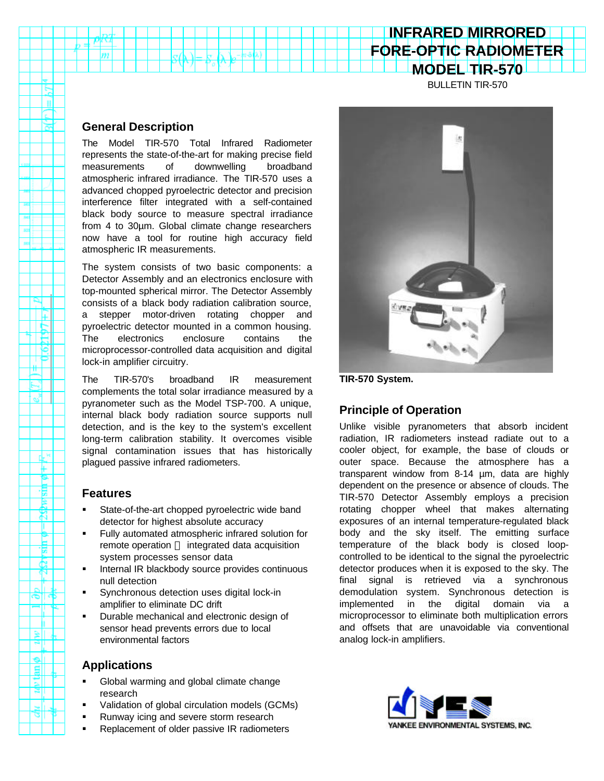# **MODEL TIR-570**

BULLETIN TIR-570

**INFRARED MIRRORED FORE-OPTIC RADIOMETER**

#### **General Description**

 $m$ 

n

ΠĘ  $\frac{1}{2}$ 

. P ≝

e,

пk ₩ ۴ 惕

₿ ш Р Þ £.

Þ.

E Ξ

ष।

The Model TIR-570 Total Infrared Radiometer represents the state-of-the-art for making precise field measurements of downwelling broadband atmospheric infrared irradiance. The TIR-570 uses a advanced chopped pyroelectric detector and precision interference filter integrated with a self-contained black body source to measure spectral irradiance from 4 to 30µm. Global climate change researchers now have a tool for routine high accuracy field atmospheric IR measurements.

The system consists of two basic components: a Detector Assembly and an electronics enclosure with top-mounted spherical mirror. The Detector Assembly consists of a black body radiation calibration source, a stepper motor-driven rotating chopper and pyroelectric detector mounted in a common housing. The electronics enclosure contains the microprocessor-controlled data acquisition and digital lock-in amplifier circuitry.

The TIR-570's broadband IR measurement complements the total solar irradiance measured by a pyranometer such as the Model TSP-700. A unique, internal black body radiation source supports null detection, and is the key to the system's excellent long-term calibration stability. It overcomes visible signal contamination issues that has historically plagued passive infrared radiometers.

#### **Features**

- State-of-the-art chopped pyroelectric wide band detector for highest absolute accuracy
- ß Fully automated atmospheric infrared solution for remote operation - integrated data acquisition system processes sensor data
- ß Internal IR blackbody source provides continuous null detection
- ß Synchronous detection uses digital lock-in amplifier to eliminate DC drift
- ß Durable mechanical and electronic design of sensor head prevents errors due to local environmental factors

#### **Applications**

- ß Global warming and global climate change research
- ß Validation of global circulation models (GCMs)
- ß Runway icing and severe storm research
- ß Replacement of older passive IR radiometers



**TIR-570 System.**

# **Principle of Operation**

Unlike visible pyranometers that absorb incident radiation, IR radiometers instead radiate out to a cooler object, for example, the base of clouds or outer space. Because the atmosphere has a transparent window from 8-14 µm, data are highly dependent on the presence or absence of clouds. The TIR-570 Detector Assembly employs a precision rotating chopper wheel that makes alternating exposures of an internal temperature-regulated black body and the sky itself. The emitting surface temperature of the black body is closed loopcontrolled to be identical to the signal the pyroelectric detector produces when it is exposed to the sky. The final signal is retrieved via a synchronous demodulation system. Synchronous detection is implemented in the digital domain via a microprocessor to eliminate both multiplication errors and offsets that are unavoidable via conventional analog lock-in amplifiers.

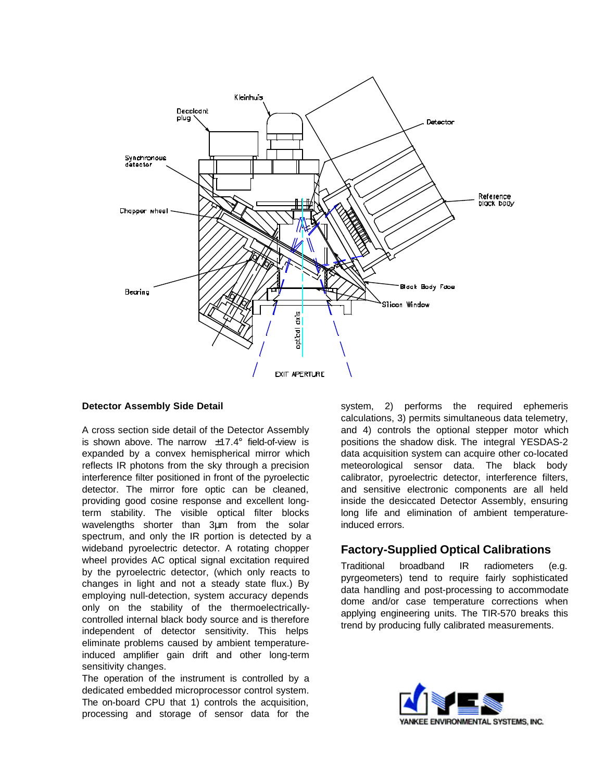

#### **Detector Assembly Side Detail**

A cross section side detail of the Detector Assembly is shown above. The narrow  $\pm 17.4^\circ$  field-of-view is expanded by a convex hemispherical mirror which reflects IR photons from the sky through a precision interference filter positioned in front of the pyroelectic detector. The mirror fore optic can be cleaned, providing good cosine response and excellent longterm stability. The visible optical filter blocks wavelengths shorter than 3μm from the solar spectrum, and only the IR portion is detected by a wideband pyroelectric detector. A rotating chopper wheel provides AC optical signal excitation required by the pyroelectric detector, (which only reacts to changes in light and not a steady state flux.) By employing null-detection, system accuracy depends only on the stability of the thermoelectricallycontrolled internal black body source and is therefore independent of detector sensitivity. This helps eliminate problems caused by ambient temperatureinduced amplifier gain drift and other long-term sensitivity changes.

The operation of the instrument is controlled by a dedicated embedded microprocessor control system. The on-board CPU that 1) controls the acquisition, processing and storage of sensor data for the system, 2) performs the required ephemeris calculations, 3) permits simultaneous data telemetry, and 4) controls the optional stepper motor which positions the shadow disk. The integral YESDAS-2 data acquisition system can acquire other co-located meteorological sensor data. The black body calibrator, pyroelectric detector, interference filters, and sensitive electronic components are all held inside the desiccated Detector Assembly, ensuring long life and elimination of ambient temperatureinduced errors.

### **Factory-Supplied Optical Calibrations**

Traditional broadband IR radiometers (e.g. pyrgeometers) tend to require fairly sophisticated data handling and post-processing to accommodate dome and/or case temperature corrections when applying engineering units. The TIR-570 breaks this trend by producing fully calibrated measurements.

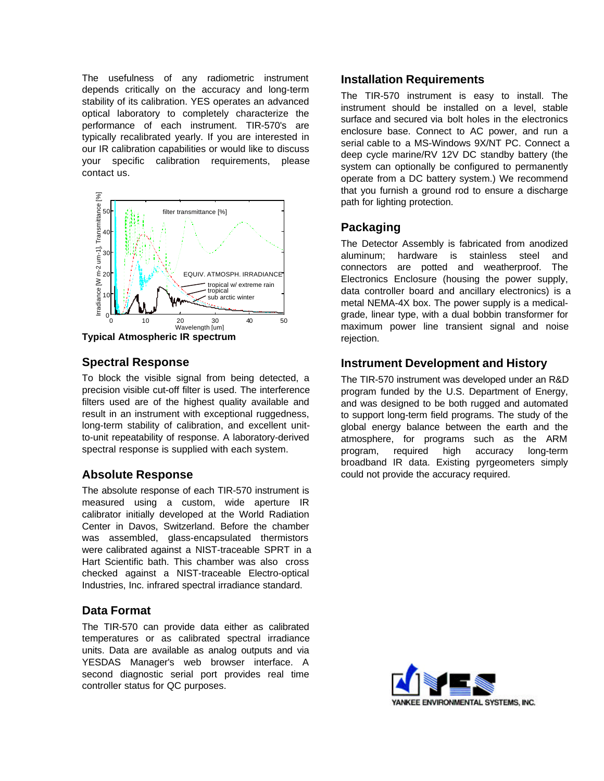The usefulness of any radiometric instrument depends critically on the accuracy and long-term stability of its calibration. YES operates an advanced optical laboratory to completely characterize the performance of each instrument. TIR-570's are typically recalibrated yearly. If you are interested in our IR calibration capabilities or would like to discuss your specific calibration requirements, please contact us.



**Typical Atmospheric IR spectrum**

# **Spectral Response**

To block the visible signal from being detected, a precision visible cut-off filter is used. The interference filters used are of the highest quality available and result in an instrument with exceptional ruggedness, long-term stability of calibration, and excellent unitto-unit repeatability of response. A laboratory-derived spectral response is supplied with each system.

# **Absolute Response**

The absolute response of each TIR-570 instrument is measured using a custom, wide aperture IR calibrator initially developed at the World Radiation Center in Davos, Switzerland. Before the chamber was assembled, glass-encapsulated thermistors were calibrated against a NIST-traceable SPRT in a Hart Scientific bath. This chamber was also cross checked against a NIST-traceable Electro-optical Industries, Inc. infrared spectral irradiance standard.

# **Data Format**

The TIR-570 can provide data either as calibrated temperatures or as calibrated spectral irradiance units. Data are available as analog outputs and via YESDAS Manager's web browser interface. A second diagnostic serial port provides real time controller status for QC purposes.

#### **Installation Requirements**

The TIR-570 instrument is easy to install. The instrument should be installed on a level, stable surface and secured via bolt holes in the electronics enclosure base. Connect to AC power, and run a serial cable to a MS-Windows 9X/NT PC. Connect a deep cycle marine/RV 12V DC standby battery (the system can optionally be configured to permanently operate from a DC battery system.) We recommend that you furnish a ground rod to ensure a discharge path for lighting protection.

# **Packaging**

The Detector Assembly is fabricated from anodized aluminum; hardware is stainless steel and connectors are potted and weatherproof. The Electronics Enclosure (housing the power supply, data controller board and ancillary electronics) is a metal NEMA-4X box. The power supply is a medicalgrade, linear type, with a dual bobbin transformer for maximum power line transient signal and noise rejection.

### **Instrument Development and History**

The TIR-570 instrument was developed under an R&D program funded by the U.S. Department of Energy, and was designed to be both rugged and automated to support long-term field programs. The study of the global energy balance between the earth and the atmosphere, for programs such as the ARM program, required high accuracy long-term broadband IR data. Existing pyrgeometers simply could not provide the accuracy required.

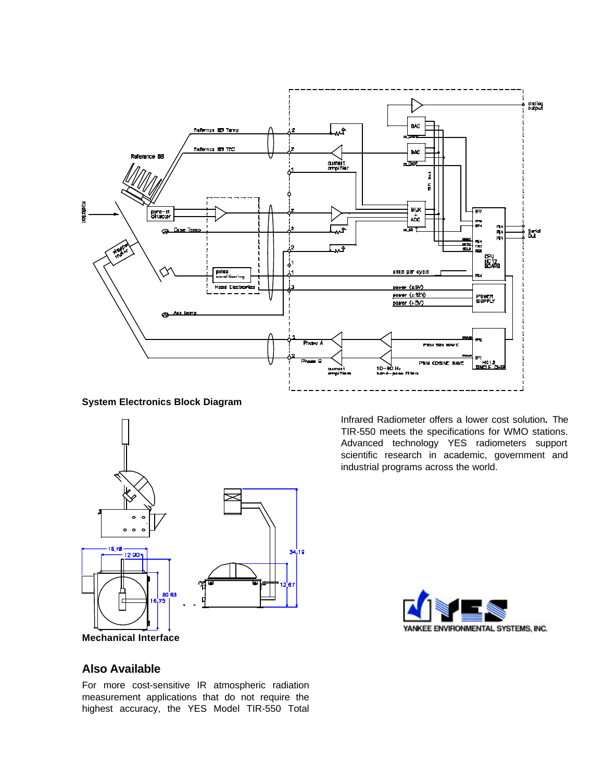

**System Electronics Block Diagram**



**Mechanical Interface**

Infrared Radiometer offers a lower cost solution**.** The TIR-550 meets the specifications for WMO stations. Advanced technology YES radiometers support scientific research in academic, government and industrial programs across the world.



# **Also Available**

For more cost-sensitive IR atmospheric radiation measurement applications that do not require the highest accuracy, the YES Model TIR-550 Total